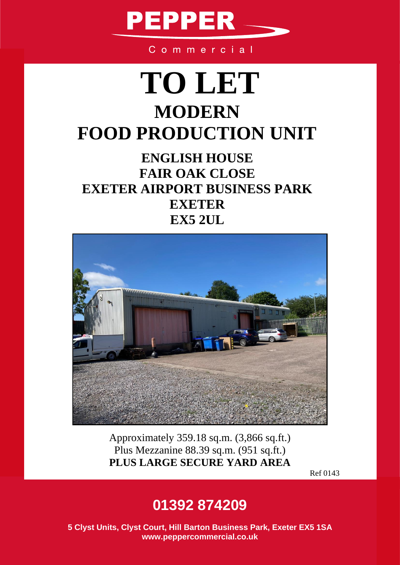

Commercial

## **TO LET MODERN FOOD PRODUCTION UNIT**

## **ENGLISH HOUSE FAIR OAK CLOSE EXETER AIRPORT BUSINESS PARK EXETER EX5 2UL**



Approximately 359.18 sq.m. (3,866 sq.ft.) Plus Mezzanine 88.39 sq.m. (951 sq.ft.) **PLUS LARGE SECURE YARD AREA** 

Ref 0143

### **01392 874209**

**5 Clyst Units, Clyst Court, Hill Barton Business Park, Exeter EX5 1SA www.peppercommercial.co.uk**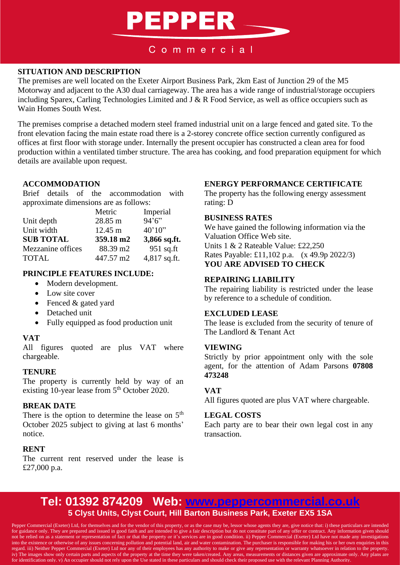## **PEPPER**

#### Commercial

#### **SITUATION AND DESCRIPTION**

The premises are well located on the Exeter Airport Business Park, 2km East of Junction 29 of the M5 Motorway and adjacent to the A30 dual carriageway. The area has a wide range of industrial/storage occupiers including Sparex, Carling Technologies Limited and J & R Food Service, as well as office occupiers such as Wain Homes South West.

The premises comprise a detached modern steel framed industrial unit on a large fenced and gated site. To the front elevation facing the main estate road there is a 2-storey concrete office section currently configured as offices at first floor with storage under. Internally the present occupier has constructed a clean area for food production within a ventilated timber structure. The area has cooking, and food preparation equipment for which details are available upon request.

#### **ACCOMMODATION**

Brief details of the accommodation with approximate dimensions are as follows:

|                   | Metric    | Imperial     |
|-------------------|-----------|--------------|
| Unit depth        | 28.85 m   | 94'6''       |
| Unit width        | 12.45 m   | 40'10''      |
| <b>SUB TOTAL</b>  | 359.18 m2 | 3,866 sq.ft. |
| Mezzanine offices | 88.39 m2  | $951$ sq.ft  |
| <b>TOTAL</b>      | 447.57 m2 | 4,817 sq.ft. |

#### **PRINCIPLE FEATURES INCLUDE:**

- Modern development.
- Low site cover
- Fenced & gated yard
- Detached unit
- Fully equipped as food production unit

#### **VAT**

All figures quoted are plus VAT where chargeable.

#### **TENURE**

The property is currently held by way of an existing 10-year lease from 5<sup>th</sup> October 2020.

#### **BREAK DATE**

There is the option to determine the lease on  $5<sup>th</sup>$ October 2025 subject to giving at last 6 months' notice.

#### **RENT**

The current rent reserved under the lease is £27,000 p.a.

#### **ENERGY PERFORMANCE CERTIFICATE**

The property has the following energy assessment rating: D

#### **BUSINESS RATES**

We have gained the following information via the Valuation Office Web site. Units 1 & 2 Rateable Value: £22,250 Rates Payable: £11,102 p.a. (x 49.9p 2022/3) **YOU ARE ADVISED TO CHECK**

#### **REPAIRING LIABILITY**

by reference to a schedule of condition. The repairing liability is restricted under the lease

#### **EXCLUDED LEASE**

**LEASE** The lease is excluded from the security of tenure of The Landlord & Tenant Act

#### **VIEWING**

Strictly by prior appointment only with the sole agent, for the attention of Adam Parsons **07808 473248**

#### **VAT**

All figures quoted are plus VAT where chargeable.

#### **LEGAL COSTS**

Each party are to bear their own legal cost in any transaction.

### **Tel: 01392 874209 Web: [www.peppercommercial.co.uk](http://www.peppercommercial.co.uk/) 5 Clyst Units, Clyst Court, Hill Barton Business Park, Exeter EX5 1SA**

Pepper Commercial (Exeter) Ltd, for themselves and for the vendor of this property, or as the case may be, lessor whose agents they are, give notice that: i) these particulars are intended for guidance only. They are prepared and issued in good faith and are intended to give a fair description but do not constitute part of any offer or contract. Any information given should not be relied on as a statement or representation of fact or that the property or it's services are in good condition. ii) Pepper Commercial (Exeter) Ltd have not made any investigations into the existence or otherwise of any issues concerning pollution and potential land, air and water contamination. The purchaser is responsible for making his or her own enquiries in this regard. iii) Neither Pepper Commercial (Exeter) Ltd nor any of their employees has any authority to make or give any representation or warranty whatsoever in relation to the property. iv) The images show only certain parts and aspects of the property at the time they were taken/created. Any areas, measurements or distances given are approximate only. Any plans are for identification only. v) An occupier should not rely upon the Use stated in these particulars and should check their proposed use with the relevant Planning Authority.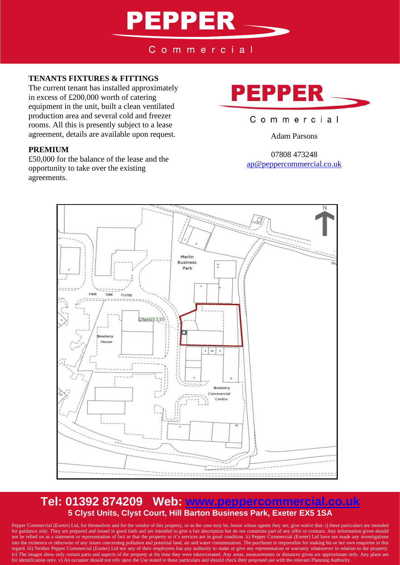# **PEPPER**

Commercial

#### **TENANTS FIXTURES & FITTINGS**

The current tenant has installed approximately in excess of £200,000 worth of catering equipment in the unit, built a clean ventilated production area and several cold and freezer rooms. All this is presently subject to a lease agreement, details are available upon request.

#### **PREMIUM**

£50,000 for the balance of the lease and the opportunity to take over the existing agreements.



#### Commercial

Adam Parsons

07808 473248 [ap@peppercommercial.co.uk](mailto:ap@peppercommercial.co.uk)



### **Tel: 01392 874209 Web: [www.peppercommercial.co.uk](http://www.peppercommercial.co.uk/) 5 Clyst Units, Clyst Court, Hill Barton Business Park, Exeter EX5 1SA**

Pepper Commercial (Exeter) Ltd, for themselves and for the vendor of this property, or as the case may be, lessor whose agents they are, give notice that: i) these particulars are intended for guidance only. They are prepared and issued in good faith and are intended to give a fair description but do not constitute part of any offer or contract. Any information given should not be relied on as a statement or representation of fact or that the property or it's services are in good condition. ii) Pepper Commercial (Exeter) Ltd have not made any investigations into the existence or otherwise of any issues concerning pollution and potential land, air and water contamination. The purchaser is responsible for making his or her own enquiries in this regard. iii) Neither Pepper Commercial (Exeter) Ltd nor any of their employees has any authority to make or give any representation or warranty whatsoever in relation to the property. iv) The images show only certain parts and aspects of the property at the time they were taken/created. Any areas, measurements or distances given are approximate only. Any plans are for identification only. v) An occupier should not rely upon the Use stated in these particulars and should check their proposed use with the relevant Planning Authority.